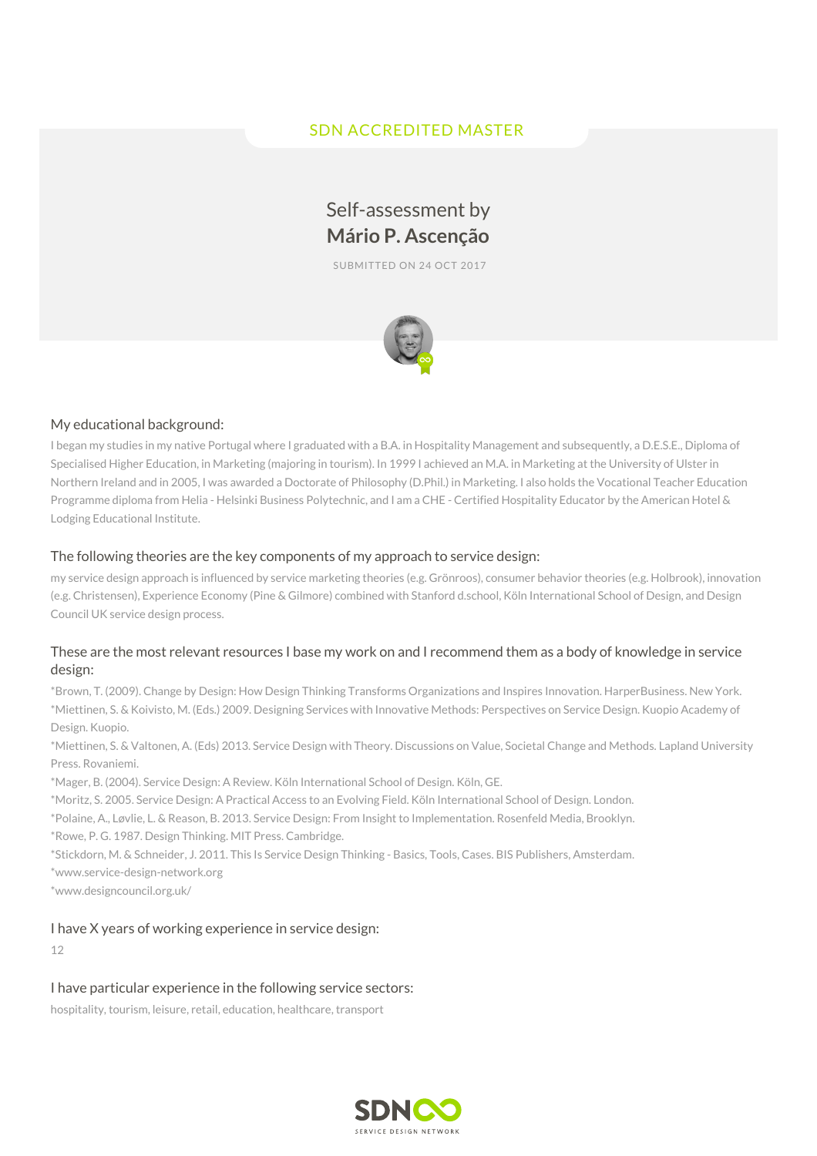## SDN ACCREDITED MASTER

# Self-assessment by **Mário P. Ascenção**

SUBMITTED ON 24 OCT 2017



## My educational background:

I began my studies in my native Portugal where I graduated with a B.A. in Hospitality Management and subsequently, a D.E.S.E., Diploma of Specialised Higher Education, in Marketing (majoring in tourism). In 1999 I achieved an M.A. in Marketing at the University of Ulster in Northern Ireland and in 2005, I was awarded a Doctorate of Philosophy (D.Phil.) in Marketing. I also holds the Vocational Teacher Education Programme diploma from Helia - Helsinki Business Polytechnic, and I am a CHE - Certified Hospitality Educator by the American Hotel & Lodging Educational Institute.

#### The following theories are the key components of my approach to service design:

my service design approach is influenced by service marketing theories (e.g. Grönroos), consumer behavior theories (e.g. Holbrook), innovation (e.g. Christensen), Experience Economy (Pine & Gilmore) combined with Stanford d.school, Köln International School of Design, and Design Council UK service design process.

## These are the most relevant resources I base my work on and I recommend them as a body of knowledge in service design:

\*Brown, T. (2009). Change by Design: How Design Thinking Transforms Organizations and Inspires Innovation. HarperBusiness. New York. \*Miettinen, S. & Koivisto, M. (Eds.) 2009. Designing Services with Innovative Methods: Perspectives on Service Design. Kuopio Academy of Design. Kuopio.

\*Miettinen, S. & Valtonen, A. (Eds) 2013. Service Design with Theory. Discussions on Value, Societal Change and Methods. Lapland University Press. Rovaniemi.

\*Mager, B. (2004). Service Design: A Review. Köln International School of Design. Köln, GE.

\*Moritz, S. 2005. Service Design: A Practical Access to an Evolving Field. Köln International School of Design. London.

\*Polaine, A., Løvlie, L. & Reason, B. 2013. Service Design: From Insight to Implementation. Rosenfeld Media, Brooklyn.

\*Rowe, P. G. 1987. Design Thinking. MIT Press. Cambridge.

\*Stickdorn, M. & Schneider, J. 2011. This Is Service Design Thinking - Basics, Tools, Cases. BIS Publishers, Amsterdam.

\*www.service-design-network.org

\*www.designcouncil.org.uk/

#### I have X years of working experience in service design:

12

## I have particular experience in the following service sectors:

hospitality, tourism, leisure, retail, education, healthcare, transport

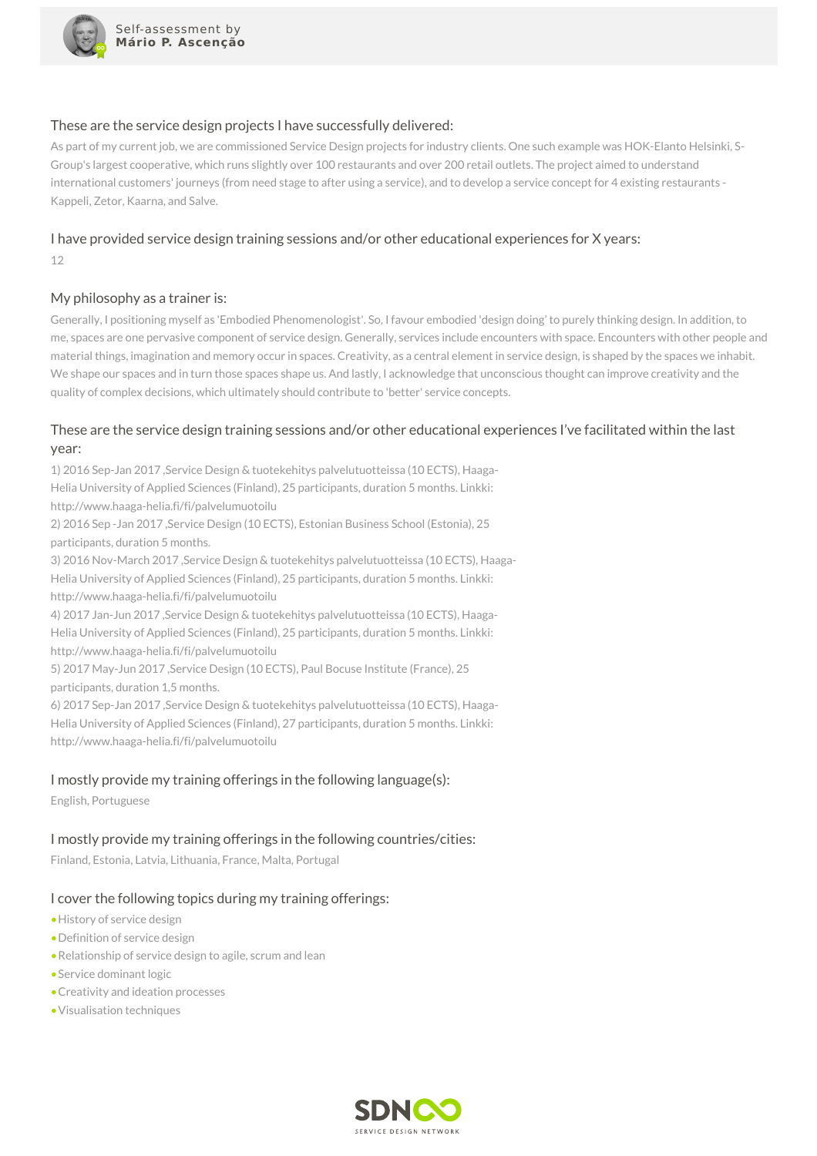

#### These are the service design projects I have successfully delivered:

As part of my current job, we are commissioned Service Design projects for industry clients. One such example was HOK-Elanto Helsinki, S-Group's largest cooperative, which runs slightly over 100 restaurants and over 200 retail outlets. The project aimed to understand international customers' journeys (from need stage to after using a service), and to develop a service concept for 4 existing restaurants - Kappeli, Zetor, Kaarna, and Salve.

## I have provided service design training sessions and/or other educational experiences for X years:

12

## My philosophy as a trainer is:

Generally, I positioning myself as 'Embodied Phenomenologist'. So, I favour embodied 'design doing' to purely thinking design. In addition, to me, spaces are one pervasive component of service design. Generally, services include encounters with space. Encounters with other people and material things, imagination and memory occur in spaces. Creativity, as a central element in service design, is shaped by the spaces we inhabit. We shape our spaces and in turn those spaces shape us. And lastly, I acknowledge that unconscious thought can improve creativity and the quality of complex decisions, which ultimately should contribute to 'better' service concepts.

## These are the service design training sessions and/or other educational experiences I've facilitated within the last year:

1) 2016 Sep-Jan 2017 ,Service Design & tuotekehitys palvelutuotteissa (10 ECTS), Haaga-Helia University of Applied Sciences (Finland), 25 participants, duration 5 months. Linkki: http://www.haaga-helia.fi/fi/palvelumuotoilu

2) 2016 Sep -Jan 2017 ,Service Design (10 ECTS), Estonian Business School (Estonia), 25 participants, duration 5 months.

3) 2016 Nov-March 2017 ,Service Design & tuotekehitys palvelutuotteissa (10 ECTS), Haaga-Helia University of Applied Sciences (Finland), 25 participants, duration 5 months. Linkki: http://www.haaga-helia.fi/fi/palvelumuotoilu

4) 2017 Jan-Jun 2017 ,Service Design & tuotekehitys palvelutuotteissa (10 ECTS), Haaga-Helia University of Applied Sciences (Finland), 25 participants, duration 5 months. Linkki: http://www.haaga-helia.fi/fi/palvelumuotoilu

5) 2017 May-Jun 2017 ,Service Design (10 ECTS), Paul Bocuse Institute (France), 25 participants, duration 1,5 months.

6) 2017 Sep-Jan 2017 ,Service Design & tuotekehitys palvelutuotteissa (10 ECTS), Haaga-Helia University of Applied Sciences (Finland), 27 participants, duration 5 months. Linkki: http://www.haaga-helia.fi/fi/palvelumuotoilu

## I mostly provide my training offerings in the following language(s):

English, Portuguese

## I mostly provide my training offerings in the following countries/cities:

Finland, Estonia, Latvia, Lithuania, France, Malta, Portugal

## I cover the following topics during my training offerings:

- •History of service design
- •Definition of service design
- •Relationship of service design to agile, scrum and lean
- •Service dominant logic
- •Creativity and ideation processes
- •Visualisation techniques

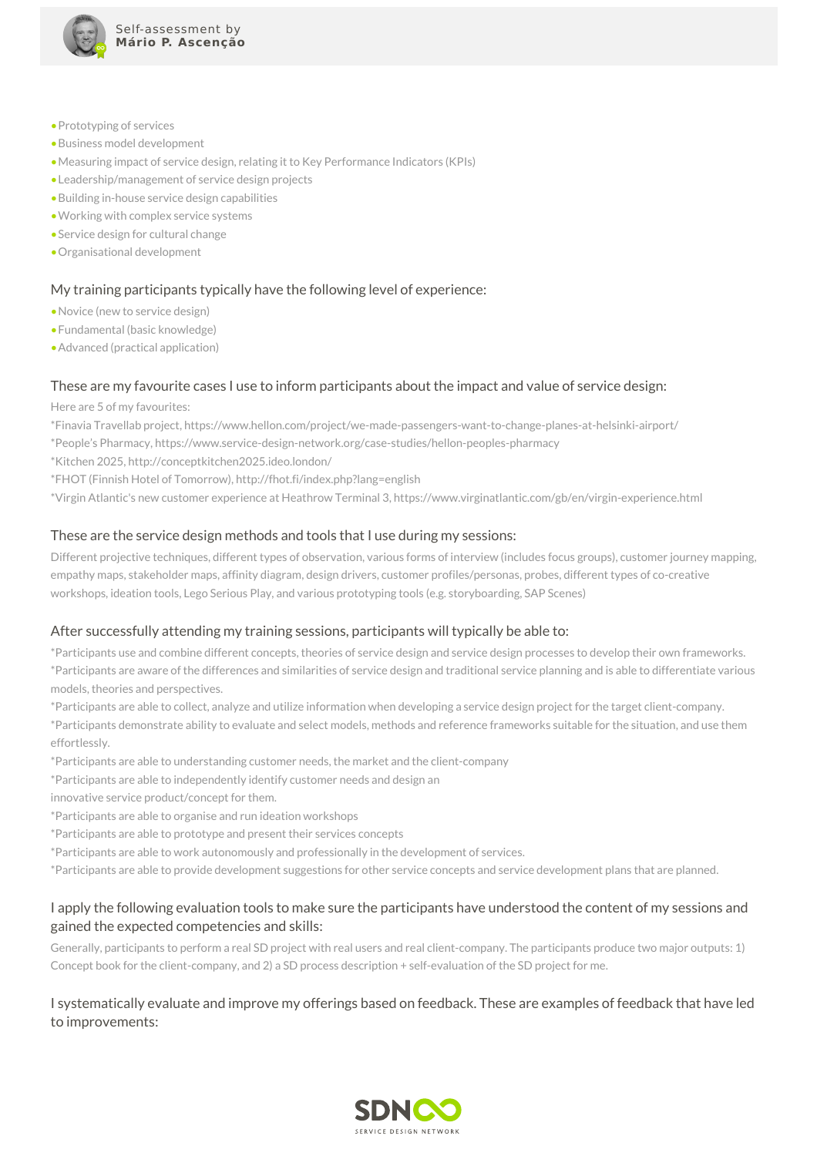

- •Prototyping of services
- •Business model development
- •Measuring impact of service design, relating it to Key Performance Indicators (KPIs)
- •Leadership/management of service design projects
- •Building in-house service design capabilities
- •Working with complex service systems
- •Service design for cultural change
- •Organisational development

#### My training participants typically have the following level of experience:

- •Novice (new to service design)
- •Fundamental (basic knowledge)
- •Advanced (practical application)

#### These are my favourite cases I use to inform participants about the impact and value of service design:

Here are 5 of my favourites:

\*Finavia Travellab project, https://www.hellon.com/project/we-made-passengers-want-to-change-planes-at-helsinki-airport/

\*People's Pharmacy, https://www.service-design-network.org/case-studies/hellon-peoples-pharmacy

- \*Kitchen 2025, http://conceptkitchen2025.ideo.london/
- \*FHOT (Finnish Hotel of Tomorrow), http://fhot.fi/index.php?lang=english

\*Virgin Atlantic's new customer experience at Heathrow Terminal 3, https://www.virginatlantic.com/gb/en/virgin-experience.html

#### These are the service design methods and tools that I use during my sessions:

Different projective techniques, different types of observation, various forms of interview (includes focus groups), customer journey mapping, empathy maps, stakeholder maps, affinity diagram, design drivers, customer profiles/personas, probes, different types of co-creative workshops, ideation tools, Lego Serious Play, and various prototyping tools (e.g. storyboarding, SAP Scenes)

#### After successfully attending my training sessions, participants will typically be able to:

\*Participants use and combine different concepts, theories of service design and service design processes to develop their own frameworks. \*Participants are aware of the differences and similarities of service design and traditional service planning and is able to differentiate various models, theories and perspectives.

\*Participants are able to collect, analyze and utilize information when developing a service design project for the target client-company.

\*Participants demonstrate ability to evaluate and select models, methods and reference frameworks suitable for the situation, and use them effortlessly.

\*Participants are able to understanding customer needs, the market and the client-company

- \*Participants are able to independently identify customer needs and design an
- innovative service product/concept for them.
- \*Participants are able to organise and run ideation workshops
- \*Participants are able to prototype and present their services concepts
- \*Participants are able to work autonomously and professionally in the development of services.

\*Participants are able to provide development suggestions for other service concepts and service development plans that are planned.

## I apply the following evaluation tools to make sure the participants have understood the content of my sessions and gained the expected competencies and skills:

Generally, participants to perform a real SD project with real users and real client-company. The participants produce two major outputs: 1) Concept book for the client-company, and 2) a SD process description + self-evaluation of the SD project for me.

## I systematically evaluate and improve my offerings based on feedback. These are examples of feedback that have led to improvements: